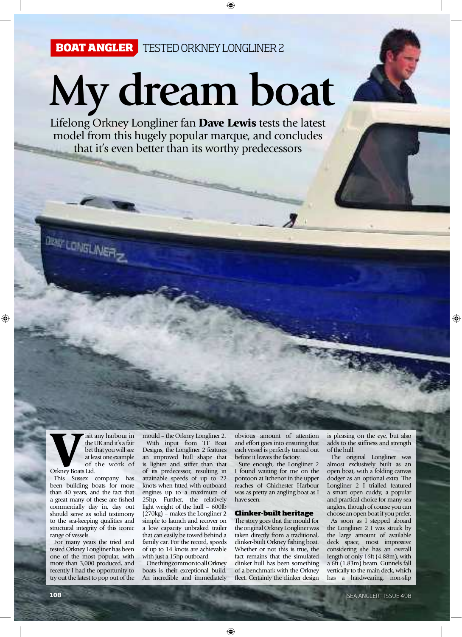**The Contract of Contract of the Contract of The Contract of The Contract of The Contract of The Contract of The Contract of The Contract of The Contract of The Contract of The Contract of The Contract of The Contract of T** 

## **My dream boat**

Lifelong Orkney Longliner fan Dave Lewis tests the latest model from this hugely popular marque, and concludes that it's even better than its worthy predecessors

isit any harbour in<br>the UK and it's a fair<br>bet that you will see<br>at least one example<br>of the work of the UK and it's a fair bet that you will see at least one example of the work of

Orkney Boats Ltd.

**Dev CONSLI** 

This Sussex company has been building boats for more than 40 years, and the fact that a great many of these are fished commercially day in, day out should serve as solid testimony to the sea-keeping qualities and structural integrity of this iconic range of vessels.

For many years the tried and tested Orkney Longliner has been one of the most popular, with more than 3,000 produced, and recently I had the opportunity to try out the latest to pop out of the

mould – the Orkney Longliner 2. With input from TT Boat Designs, the Longliner 2 features an improved hull shape that is lighter and stiffer than that of its predecessor, resulting in attainable speeds of up to 22 knots when fitted with outboard engines up to a maximum of 25hp. Further, the relatively light weight of the hull – 600lb (270kg) – makes the Longliner 2 simple to launch and recover on a low capacity unbraked trailer that can easily be towed behind a family car. For the record, speeds of up to 14 knots are achievable with just a 15hp outboard.

One thing common to all Orkney boats is their exceptional build. An incredible and immediately

obvious amount of attention and effort goes into ensuring that each vessel is perfectly turned out before it leaves the factory.

 $\boldsymbol{J}$ 

Sure enough, the Longliner 2 I found waiting for me on the pontoon at Itchenor in the upper reaches of Chichester Harbour was as pretty an angling boat as I have seen.

## Clinker-built heritage

The story goes that the mould for the original Orkney Longliner was taken directly from a traditional, clinker-built Orkney fishing boat. Whether or not this is true, the fact remains that the simulated clinker hull has been something of a benchmark with the Orkney fleet. Certainly the clinker design

is pleasing on the eye, but also adds to the stiffness and strength of the hull.

The original Longliner was almost exclusively built as an open boat, with a folding canvas dodger as an optional extra. The Longliner 2 I trialled featured a smart open cuddy, a popular and practical choice for many sea anglers, though of course you can choose an open boat if you prefer.

As soon as I stepped aboard the Longliner 2 I was struck by the large amount of available deck space, most impressive considering she has an overall length of only 16ft (4.88m), with a 6ft (1.83m) beam. Gunnels fall vertically to the main deck, which has a hardwearing, non-slip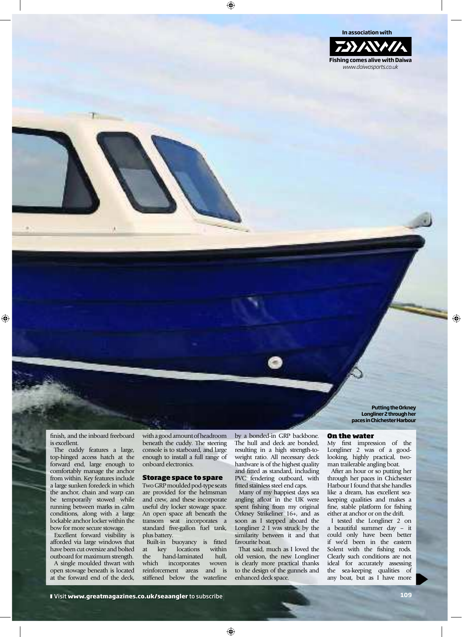

**Longliner 2 through her paces in Chichester Harbour** 

On the water

My first impression of the Longliner 2 was of a goodlooking, highly practical, twoman trailerable angling boat.

**Putting the Orkney** 

After an hour or so putting her through her paces in Chichester Harbour I found that she handles like a dream, has excellent seakeeping qualities and makes a fine, stable platform for fishing either at anchor or on the drift.

I tested the Longliner 2 on a beautiful summer day – it could only have been better if we'd been in the eastern Solent with the fishing rods. Clearly such conditions are not ideal for accurately assessing the sea-keeping qualities of any boat, but as I have more

finish, and the inboard freeboard is excellent.

The cuddy features a large, top-hinged access hatch at the forward end, large enough to comfortably manage the anchor from within. Key features include a large sunken foredeck in which the anchor, chain and warp can be temporarily stowed while running between marks in calm conditions, along with a large lockable anchor locker within the bow for more secure stowage.

Excellent forward visibility is afforded via large windows that have been cut oversize and bolted outboard for maximum strength.

A single moulded thwart with open stowage beneath is located at the forward end of the deck,

with a good amount of headroom beneath the cuddy. The steering console is to starboard, and large enough to install a full range of onboard electronics.

## Storage space to spare

Two GRP moulded pod-type seats are provided for the helmsman and crew, and these incorporate useful dry locker stowage space. An open space aft beneath the transom seat incorporates a standard five-gallon fuel tank, plus battery.

Built-in buoyancy is fitted<br>t key locations within at key locations the hand-laminated hull, which incorporates woven reinforcement areas and is stiffened below the waterline by a bonded-in GRP backbone. The hull and deck are bonded, resulting in a high strength-toweight ratio. All necessary deck hardware is of the highest quality and fitted as standard, including PVC fendering outboard, with fitted stainless steel end caps.

Many of my happiest days sea angling afloat in the UK were spent fishing from my original Orkney Strikeliner 16+, and as soon as I stepped aboard the Longliner 2 I was struck by the similarity between it and that favourite boat.

That said, much as I loved the old version, the new Longliner is clearly more practical thanks to the design of the gunnels and enhanced deck space.